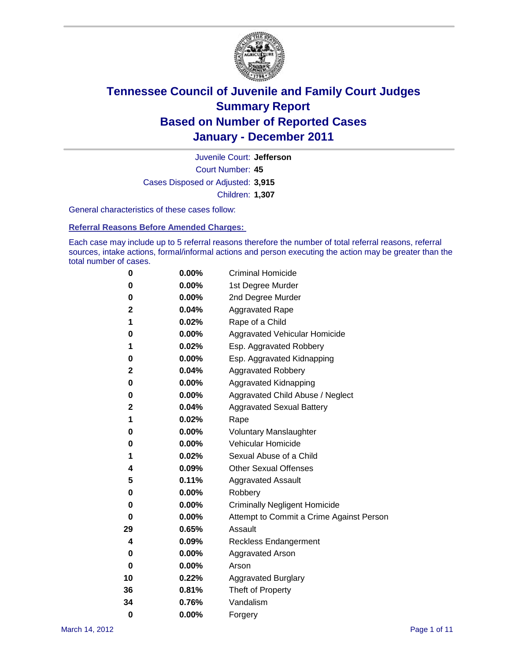

Court Number: **45** Juvenile Court: **Jefferson** Cases Disposed or Adjusted: **3,915** Children: **1,307**

General characteristics of these cases follow:

**Referral Reasons Before Amended Charges:** 

Each case may include up to 5 referral reasons therefore the number of total referral reasons, referral sources, intake actions, formal/informal actions and person executing the action may be greater than the total number of cases.

| 0  | 0.00%    | <b>Criminal Homicide</b>                 |
|----|----------|------------------------------------------|
| 0  | 0.00%    | 1st Degree Murder                        |
| 0  | 0.00%    | 2nd Degree Murder                        |
| 2  | 0.04%    | <b>Aggravated Rape</b>                   |
| 1  | 0.02%    | Rape of a Child                          |
| 0  | 0.00%    | Aggravated Vehicular Homicide            |
| 1  | 0.02%    | Esp. Aggravated Robbery                  |
| 0  | 0.00%    | Esp. Aggravated Kidnapping               |
| 2  | 0.04%    | <b>Aggravated Robbery</b>                |
| 0  | 0.00%    | Aggravated Kidnapping                    |
| 0  | 0.00%    | Aggravated Child Abuse / Neglect         |
| 2  | 0.04%    | <b>Aggravated Sexual Battery</b>         |
| 1  | 0.02%    | Rape                                     |
| 0  | 0.00%    | <b>Voluntary Manslaughter</b>            |
| 0  | 0.00%    | Vehicular Homicide                       |
| 1  | 0.02%    | Sexual Abuse of a Child                  |
| 4  | 0.09%    | <b>Other Sexual Offenses</b>             |
| 5  | 0.11%    | <b>Aggravated Assault</b>                |
| 0  | 0.00%    | Robbery                                  |
| 0  | 0.00%    | <b>Criminally Negligent Homicide</b>     |
| 0  | 0.00%    | Attempt to Commit a Crime Against Person |
| 29 | 0.65%    | Assault                                  |
| 4  | 0.09%    | <b>Reckless Endangerment</b>             |
| 0  | 0.00%    | <b>Aggravated Arson</b>                  |
| 0  | $0.00\%$ | Arson                                    |
| 10 | 0.22%    | <b>Aggravated Burglary</b>               |
| 36 | 0.81%    | Theft of Property                        |
| 34 | 0.76%    | Vandalism                                |
| 0  | 0.00%    | Forgery                                  |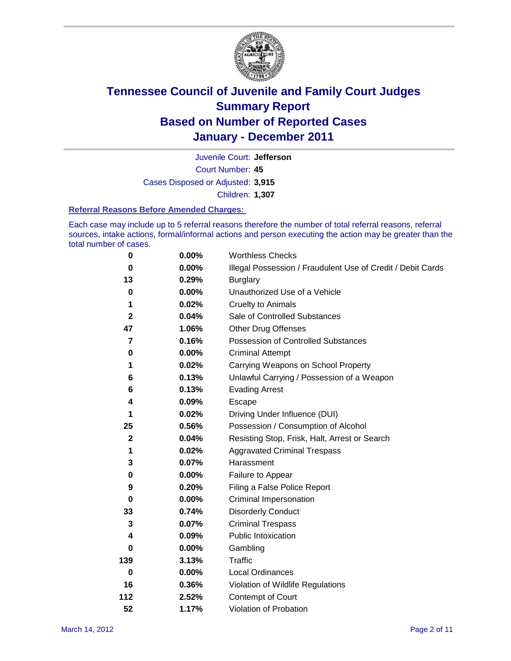

Court Number: **45** Juvenile Court: **Jefferson** Cases Disposed or Adjusted: **3,915** Children: **1,307**

#### **Referral Reasons Before Amended Charges:**

Each case may include up to 5 referral reasons therefore the number of total referral reasons, referral sources, intake actions, formal/informal actions and person executing the action may be greater than the total number of cases.

| $\pmb{0}$    | 0.00%    | <b>Worthless Checks</b>                                     |
|--------------|----------|-------------------------------------------------------------|
| 0            | $0.00\%$ | Illegal Possession / Fraudulent Use of Credit / Debit Cards |
| 13           | 0.29%    | <b>Burglary</b>                                             |
| $\bf{0}$     | $0.00\%$ | Unauthorized Use of a Vehicle                               |
| 1            | 0.02%    | <b>Cruelty to Animals</b>                                   |
| $\mathbf{2}$ | 0.04%    | Sale of Controlled Substances                               |
| 47           | 1.06%    | <b>Other Drug Offenses</b>                                  |
| 7            | 0.16%    | Possession of Controlled Substances                         |
| 0            | $0.00\%$ | <b>Criminal Attempt</b>                                     |
| 1            | 0.02%    | Carrying Weapons on School Property                         |
| 6            | 0.13%    | Unlawful Carrying / Possession of a Weapon                  |
| 6            | 0.13%    | <b>Evading Arrest</b>                                       |
| 4            | 0.09%    | Escape                                                      |
| 1            | 0.02%    | Driving Under Influence (DUI)                               |
| 25           | 0.56%    | Possession / Consumption of Alcohol                         |
| $\mathbf 2$  | 0.04%    | Resisting Stop, Frisk, Halt, Arrest or Search               |
| 1            | 0.02%    | <b>Aggravated Criminal Trespass</b>                         |
| 3            | 0.07%    | Harassment                                                  |
| 0            | 0.00%    | Failure to Appear                                           |
| 9            | 0.20%    | Filing a False Police Report                                |
| $\bf{0}$     | 0.00%    | Criminal Impersonation                                      |
| 33           | 0.74%    | <b>Disorderly Conduct</b>                                   |
| 3            | 0.07%    | <b>Criminal Trespass</b>                                    |
| 4            | 0.09%    | <b>Public Intoxication</b>                                  |
| 0            | $0.00\%$ | Gambling                                                    |
| 139          | 3.13%    | <b>Traffic</b>                                              |
| $\mathbf 0$  | $0.00\%$ | Local Ordinances                                            |
| 16           | 0.36%    | Violation of Wildlife Regulations                           |
| 112          | 2.52%    | Contempt of Court                                           |
| 52           | 1.17%    | Violation of Probation                                      |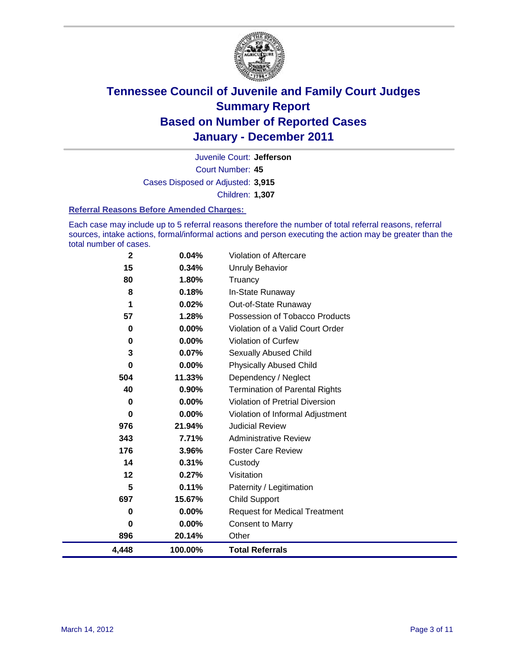

Court Number: **45** Juvenile Court: **Jefferson** Cases Disposed or Adjusted: **3,915** Children: **1,307**

#### **Referral Reasons Before Amended Charges:**

Each case may include up to 5 referral reasons therefore the number of total referral reasons, referral sources, intake actions, formal/informal actions and person executing the action may be greater than the total number of cases.

| $\mathbf 2$ | 0.04%    | Violation of Aftercare                 |
|-------------|----------|----------------------------------------|
| 15          | 0.34%    | <b>Unruly Behavior</b>                 |
| 80          | 1.80%    | Truancy                                |
| 8           | 0.18%    | In-State Runaway                       |
| 1           | 0.02%    | Out-of-State Runaway                   |
| 57          | 1.28%    | Possession of Tobacco Products         |
| 0           | 0.00%    | Violation of a Valid Court Order       |
| 0           | 0.00%    | Violation of Curfew                    |
| 3           | 0.07%    | Sexually Abused Child                  |
| $\mathbf 0$ | 0.00%    | <b>Physically Abused Child</b>         |
| 504         | 11.33%   | Dependency / Neglect                   |
| 40          | 0.90%    | <b>Termination of Parental Rights</b>  |
| 0           | 0.00%    | <b>Violation of Pretrial Diversion</b> |
| 0           | 0.00%    | Violation of Informal Adjustment       |
| 976         | 21.94%   | <b>Judicial Review</b>                 |
| 343         | 7.71%    | <b>Administrative Review</b>           |
| 176         | 3.96%    | <b>Foster Care Review</b>              |
| 14          | 0.31%    | Custody                                |
| 12          | 0.27%    | Visitation                             |
| 5           | 0.11%    | Paternity / Legitimation               |
| 697         | 15.67%   | <b>Child Support</b>                   |
| 0           | 0.00%    | <b>Request for Medical Treatment</b>   |
| 0           | $0.00\%$ | <b>Consent to Marry</b>                |
| 896         | 20.14%   | Other                                  |
| 4,448       | 100.00%  | <b>Total Referrals</b>                 |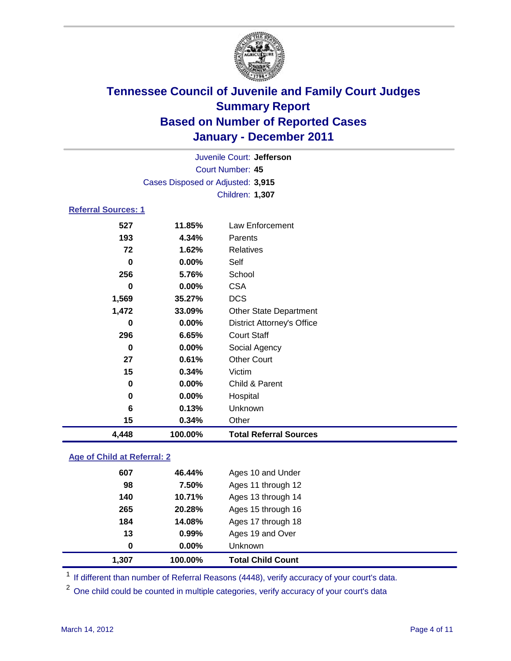

| Juvenile Court: Jefferson         |         |                                   |  |  |
|-----------------------------------|---------|-----------------------------------|--|--|
| Court Number: 45                  |         |                                   |  |  |
| Cases Disposed or Adjusted: 3,915 |         |                                   |  |  |
|                                   |         | Children: 1,307                   |  |  |
| <b>Referral Sources: 1</b>        |         |                                   |  |  |
| 527                               | 11.85%  | Law Enforcement                   |  |  |
| 193                               | 4.34%   | Parents                           |  |  |
| 72                                | 1.62%   | <b>Relatives</b>                  |  |  |
| 0                                 | 0.00%   | Self                              |  |  |
| 256                               | 5.76%   | School                            |  |  |
| 0                                 | 0.00%   | <b>CSA</b>                        |  |  |
| 1,569                             | 35.27%  | <b>DCS</b>                        |  |  |
| 1,472                             | 33.09%  | <b>Other State Department</b>     |  |  |
| $\bf{0}$                          | 0.00%   | <b>District Attorney's Office</b> |  |  |
| 296                               | 6.65%   | <b>Court Staff</b>                |  |  |
| 0                                 | 0.00%   | Social Agency                     |  |  |
| 27                                | 0.61%   | <b>Other Court</b>                |  |  |
| 15                                | 0.34%   | Victim                            |  |  |
| $\bf{0}$                          | 0.00%   | Child & Parent                    |  |  |
| 0                                 | 0.00%   | Hospital                          |  |  |
| 6                                 | 0.13%   | Unknown                           |  |  |
| 15                                | 0.34%   | Other                             |  |  |
| 4,448                             | 100.00% | <b>Total Referral Sources</b>     |  |  |

### **Age of Child at Referral: 2**

| $\bf{0}$ | 0.00%  | Unknown            |
|----------|--------|--------------------|
| 13       | 0.99%  | Ages 19 and Over   |
| 184      | 14.08% | Ages 17 through 18 |
| 265      | 20.28% | Ages 15 through 16 |
| 140      | 10.71% | Ages 13 through 14 |
| 98       | 7.50%  | Ages 11 through 12 |
| 607      | 46.44% | Ages 10 and Under  |
|          |        |                    |

<sup>1</sup> If different than number of Referral Reasons (4448), verify accuracy of your court's data.

<sup>2</sup> One child could be counted in multiple categories, verify accuracy of your court's data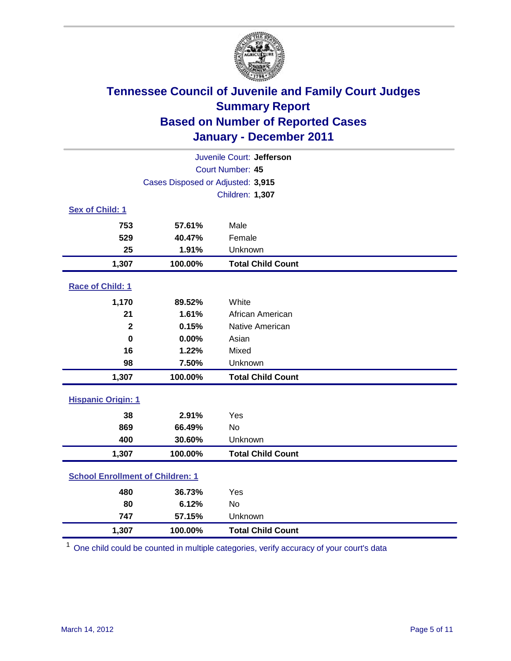

| Juvenile Court: Jefferson               |                                   |                          |  |  |  |
|-----------------------------------------|-----------------------------------|--------------------------|--|--|--|
|                                         | Court Number: 45                  |                          |  |  |  |
|                                         | Cases Disposed or Adjusted: 3,915 |                          |  |  |  |
|                                         |                                   | Children: 1,307          |  |  |  |
| Sex of Child: 1                         |                                   |                          |  |  |  |
| 753                                     | 57.61%                            | Male                     |  |  |  |
| 529                                     | 40.47%                            | Female                   |  |  |  |
| 25                                      | 1.91%                             | Unknown                  |  |  |  |
| 1,307                                   | 100.00%                           | <b>Total Child Count</b> |  |  |  |
| Race of Child: 1                        |                                   |                          |  |  |  |
| 1,170                                   | 89.52%                            | White                    |  |  |  |
| 21                                      | 1.61%                             | African American         |  |  |  |
| $\mathbf 2$                             | 0.15%                             | Native American          |  |  |  |
| $\mathbf 0$                             | 0.00%                             | Asian                    |  |  |  |
| 16                                      | 1.22%                             | Mixed                    |  |  |  |
| 98                                      | 7.50%                             | Unknown                  |  |  |  |
| 1,307                                   | 100.00%                           | <b>Total Child Count</b> |  |  |  |
| <b>Hispanic Origin: 1</b>               |                                   |                          |  |  |  |
| 38                                      | 2.91%                             | Yes                      |  |  |  |
| 869                                     | 66.49%                            | No                       |  |  |  |
| 400                                     | 30.60%                            | Unknown                  |  |  |  |
| 1,307                                   | 100.00%                           | <b>Total Child Count</b> |  |  |  |
| <b>School Enrollment of Children: 1</b> |                                   |                          |  |  |  |
| 480                                     | 36.73%                            | Yes                      |  |  |  |
| 80                                      | 6.12%                             | No                       |  |  |  |
| 747                                     | 57.15%                            | Unknown                  |  |  |  |
| 1,307                                   | 100.00%                           | <b>Total Child Count</b> |  |  |  |

<sup>1</sup> One child could be counted in multiple categories, verify accuracy of your court's data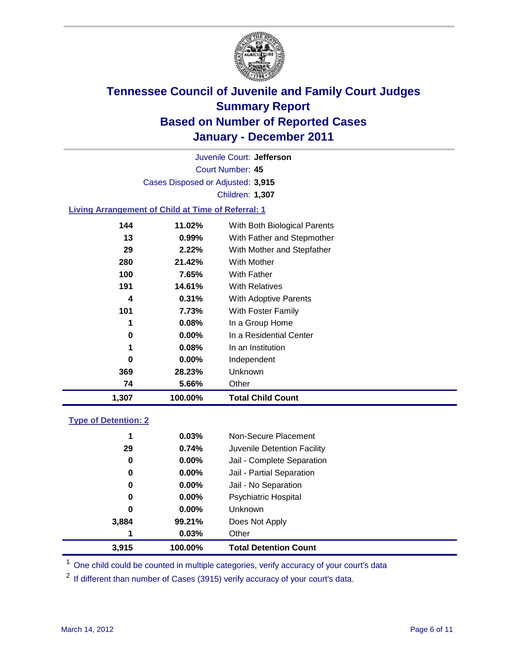

Court Number: **45** Juvenile Court: **Jefferson** Cases Disposed or Adjusted: **3,915** Children: **1,307**

### **Living Arrangement of Child at Time of Referral: 1**

| 1,307 | 100.00%  | <b>Total Child Count</b>     |
|-------|----------|------------------------------|
| 74    | 5.66%    | Other                        |
| 369   | 28.23%   | <b>Unknown</b>               |
| 0     | $0.00\%$ | Independent                  |
| 1     | 0.08%    | In an Institution            |
| 0     | $0.00\%$ | In a Residential Center      |
| 1     | 0.08%    | In a Group Home              |
| 101   | 7.73%    | With Foster Family           |
| 4     | 0.31%    | <b>With Adoptive Parents</b> |
| 191   | 14.61%   | <b>With Relatives</b>        |
| 100   | 7.65%    | <b>With Father</b>           |
| 280   | 21.42%   | With Mother                  |
| 29    | 2.22%    | With Mother and Stepfather   |
| 13    | 0.99%    | With Father and Stepmother   |
| 144   | 11.02%   | With Both Biological Parents |
|       |          |                              |

### **Type of Detention: 2**

| 3.915 | 100.00%  | <b>Total Detention Count</b> |  |
|-------|----------|------------------------------|--|
| 1     | 0.03%    | Other                        |  |
| 3,884 | 99.21%   | Does Not Apply               |  |
| 0     | $0.00\%$ | <b>Unknown</b>               |  |
| 0     | $0.00\%$ | Psychiatric Hospital         |  |
| 0     | 0.00%    | Jail - No Separation         |  |
| 0     | $0.00\%$ | Jail - Partial Separation    |  |
| 0     | 0.00%    | Jail - Complete Separation   |  |
| 29    | 0.74%    | Juvenile Detention Facility  |  |
| 1     | 0.03%    | Non-Secure Placement         |  |
|       |          |                              |  |

<sup>1</sup> One child could be counted in multiple categories, verify accuracy of your court's data

<sup>2</sup> If different than number of Cases (3915) verify accuracy of your court's data.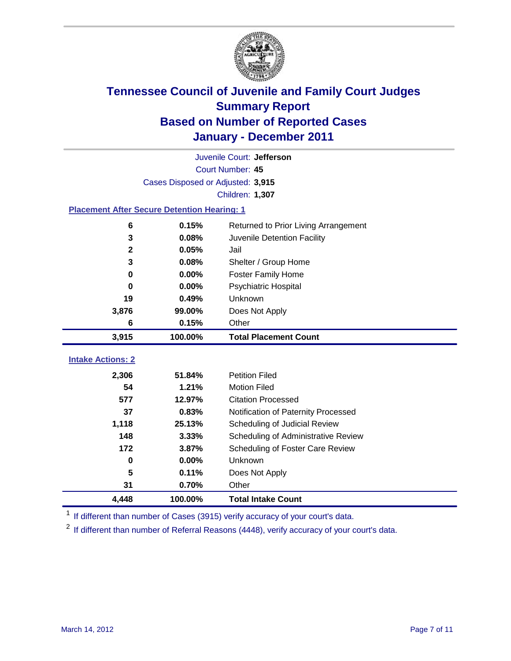

|                                                    | Juvenile Court: Jefferson         |                                      |  |  |  |
|----------------------------------------------------|-----------------------------------|--------------------------------------|--|--|--|
|                                                    | Court Number: 45                  |                                      |  |  |  |
|                                                    | Cases Disposed or Adjusted: 3,915 |                                      |  |  |  |
|                                                    |                                   | Children: 1,307                      |  |  |  |
| <b>Placement After Secure Detention Hearing: 1</b> |                                   |                                      |  |  |  |
| 6                                                  | 0.15%                             | Returned to Prior Living Arrangement |  |  |  |
| 3                                                  | 0.08%                             | Juvenile Detention Facility          |  |  |  |
| $\mathbf{2}$                                       | 0.05%                             | Jail                                 |  |  |  |
| 3                                                  | 0.08%                             | Shelter / Group Home                 |  |  |  |
| $\mathbf 0$                                        | 0.00%                             | <b>Foster Family Home</b>            |  |  |  |
| 0                                                  | 0.00%                             | Psychiatric Hospital                 |  |  |  |
| 19                                                 | 0.49%                             | Unknown                              |  |  |  |
| 3,876                                              | 99.00%                            | Does Not Apply                       |  |  |  |
| 6                                                  | 0.15%                             | Other                                |  |  |  |
| 3,915                                              | 100.00%                           | <b>Total Placement Count</b>         |  |  |  |
|                                                    |                                   |                                      |  |  |  |
| <b>Intake Actions: 2</b>                           |                                   |                                      |  |  |  |
| 2,306                                              | 51.84%                            | <b>Petition Filed</b>                |  |  |  |
| 54                                                 | 1.21%                             | <b>Motion Filed</b>                  |  |  |  |
| 577                                                | 12.97%                            | <b>Citation Processed</b>            |  |  |  |
| 37                                                 | 0.83%                             | Notification of Paternity Processed  |  |  |  |
| 1,118                                              | 25.13%                            | Scheduling of Judicial Review        |  |  |  |
| 148                                                | 3.33%                             | Scheduling of Administrative Review  |  |  |  |
| 172                                                | 3.87%                             | Scheduling of Foster Care Review     |  |  |  |
| $\bf{0}$                                           | 0.00%                             | <b>Unknown</b>                       |  |  |  |
| 5                                                  | 0.11%                             | Does Not Apply                       |  |  |  |
| 31                                                 | 0.70%                             | Other                                |  |  |  |
| 4,448                                              | 100.00%                           | <b>Total Intake Count</b>            |  |  |  |

<sup>1</sup> If different than number of Cases (3915) verify accuracy of your court's data.

<sup>2</sup> If different than number of Referral Reasons (4448), verify accuracy of your court's data.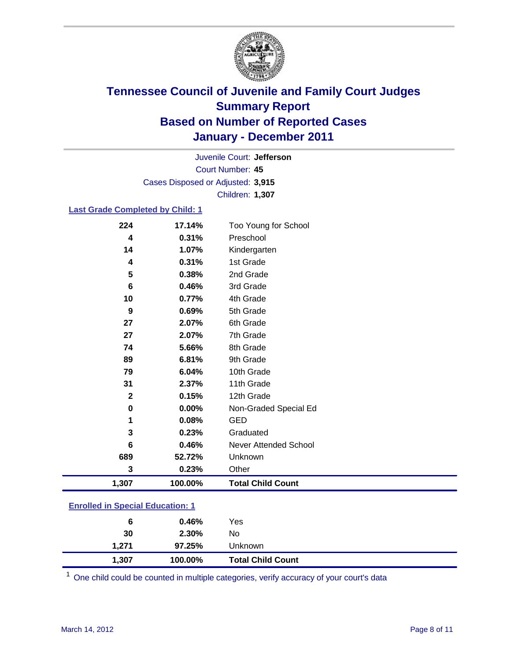

Court Number: **45** Juvenile Court: **Jefferson** Cases Disposed or Adjusted: **3,915** Children: **1,307**

#### **Last Grade Completed by Child: 1**

| 224                                     | 17.14%  | Too Young for School         |  |
|-----------------------------------------|---------|------------------------------|--|
| 4                                       | 0.31%   | Preschool                    |  |
| 14                                      | 1.07%   | Kindergarten                 |  |
| 4                                       | 0.31%   | 1st Grade                    |  |
| 5                                       | 0.38%   | 2nd Grade                    |  |
| 6                                       | 0.46%   | 3rd Grade                    |  |
| 10                                      | 0.77%   | 4th Grade                    |  |
| 9                                       | 0.69%   | 5th Grade                    |  |
| 27                                      | 2.07%   | 6th Grade                    |  |
| 27                                      | 2.07%   | 7th Grade                    |  |
| 74                                      | 5.66%   | 8th Grade                    |  |
| 89                                      | 6.81%   | 9th Grade                    |  |
| 79                                      | 6.04%   | 10th Grade                   |  |
| 31                                      | 2.37%   | 11th Grade                   |  |
| $\boldsymbol{2}$                        | 0.15%   | 12th Grade                   |  |
| 0                                       | 0.00%   | Non-Graded Special Ed        |  |
| 1                                       | 0.08%   | <b>GED</b>                   |  |
| 3                                       | 0.23%   | Graduated                    |  |
| 6                                       | 0.46%   | <b>Never Attended School</b> |  |
| 689                                     | 52.72%  | Unknown                      |  |
| 3                                       | 0.23%   | Other                        |  |
| 1,307                                   | 100.00% | <b>Total Child Count</b>     |  |
| <b>Enrolled in Special Education: 1</b> |         |                              |  |

| 1,307 | 100.00% | <b>Total Child Count</b> |
|-------|---------|--------------------------|
| 1,271 | 97.25%  | Unknown                  |
| 30    | 2.30%   | No                       |
| 6     | 0.46%   | Yes                      |

One child could be counted in multiple categories, verify accuracy of your court's data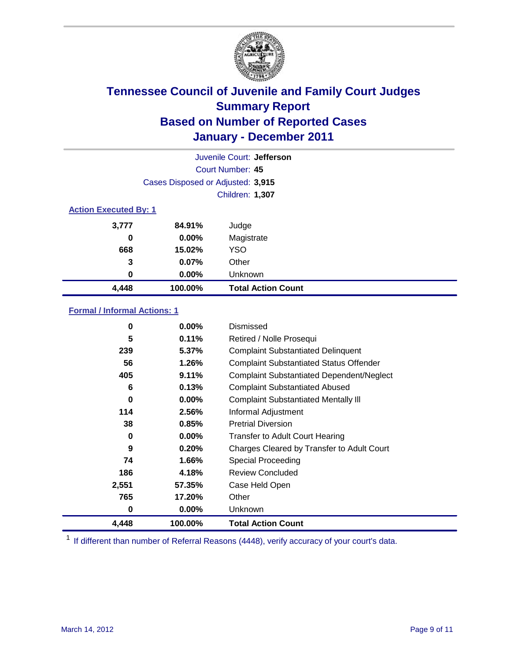

| Juvenile Court: Jefferson    |                                   |                           |  |  |  |
|------------------------------|-----------------------------------|---------------------------|--|--|--|
|                              | Court Number: 45                  |                           |  |  |  |
|                              | Cases Disposed or Adjusted: 3,915 |                           |  |  |  |
|                              | Children: 1,307                   |                           |  |  |  |
| <b>Action Executed By: 1</b> |                                   |                           |  |  |  |
| 3,777                        | 84.91%                            | Judge                     |  |  |  |
| 0                            | $0.00\%$                          | Magistrate                |  |  |  |
| 668                          | 15.02%                            | <b>YSO</b>                |  |  |  |
| 3                            | 0.07%                             | Other                     |  |  |  |
| 0                            | 0.00%                             | Unknown                   |  |  |  |
| 4,448                        | 100.00%                           | <b>Total Action Count</b> |  |  |  |

### **Formal / Informal Actions: 1**

| 0     | $0.00\%$ | Dismissed                                        |
|-------|----------|--------------------------------------------------|
| 5     | 0.11%    | Retired / Nolle Prosequi                         |
| 239   | 5.37%    | <b>Complaint Substantiated Delinquent</b>        |
| 56    | 1.26%    | <b>Complaint Substantiated Status Offender</b>   |
| 405   | 9.11%    | <b>Complaint Substantiated Dependent/Neglect</b> |
| 6     | 0.13%    | <b>Complaint Substantiated Abused</b>            |
| 0     | $0.00\%$ | <b>Complaint Substantiated Mentally III</b>      |
| 114   | 2.56%    | Informal Adjustment                              |
| 38    | 0.85%    | <b>Pretrial Diversion</b>                        |
| 0     | $0.00\%$ | <b>Transfer to Adult Court Hearing</b>           |
| 9     | 0.20%    | Charges Cleared by Transfer to Adult Court       |
| 74    | 1.66%    | Special Proceeding                               |
| 186   | 4.18%    | <b>Review Concluded</b>                          |
| 2,551 | 57.35%   | Case Held Open                                   |
| 765   | 17.20%   | Other                                            |
| 0     | $0.00\%$ | <b>Unknown</b>                                   |
| 4,448 | 100.00%  | <b>Total Action Count</b>                        |

<sup>1</sup> If different than number of Referral Reasons (4448), verify accuracy of your court's data.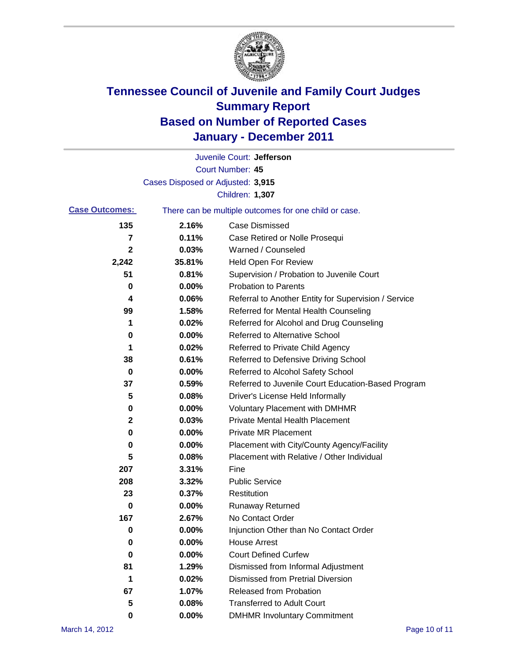

|                       |                                   | Juvenile Court: Jefferson                             |
|-----------------------|-----------------------------------|-------------------------------------------------------|
|                       |                                   | <b>Court Number: 45</b>                               |
|                       | Cases Disposed or Adjusted: 3,915 |                                                       |
|                       |                                   | Children: 1,307                                       |
| <b>Case Outcomes:</b> |                                   | There can be multiple outcomes for one child or case. |
| 135                   | 2.16%                             | <b>Case Dismissed</b>                                 |
| 7                     | 0.11%                             | Case Retired or Nolle Prosequi                        |
| $\mathbf{2}$          | 0.03%                             | Warned / Counseled                                    |
| 2,242                 | 35.81%                            | <b>Held Open For Review</b>                           |
| 51                    | 0.81%                             | Supervision / Probation to Juvenile Court             |
| 0                     | 0.00%                             | <b>Probation to Parents</b>                           |
| 4                     | 0.06%                             | Referral to Another Entity for Supervision / Service  |
| 99                    | 1.58%                             | Referred for Mental Health Counseling                 |
| 1                     | 0.02%                             | Referred for Alcohol and Drug Counseling              |
| 0                     | 0.00%                             | <b>Referred to Alternative School</b>                 |
| 1                     | 0.02%                             | Referred to Private Child Agency                      |
| 38                    | 0.61%                             | Referred to Defensive Driving School                  |
| 0                     | 0.00%                             | Referred to Alcohol Safety School                     |
| 37                    | 0.59%                             | Referred to Juvenile Court Education-Based Program    |
| 5                     | 0.08%                             | Driver's License Held Informally                      |
| 0                     | 0.00%                             | <b>Voluntary Placement with DMHMR</b>                 |
| 2                     | 0.03%                             | <b>Private Mental Health Placement</b>                |
| 0                     | 0.00%                             | <b>Private MR Placement</b>                           |
| 0                     | 0.00%                             | Placement with City/County Agency/Facility            |
| 5                     | 0.08%                             | Placement with Relative / Other Individual            |
| 207                   | 3.31%                             | Fine                                                  |
| 208                   | 3.32%                             | <b>Public Service</b>                                 |
| 23                    | 0.37%                             | Restitution                                           |
| 0                     | 0.00%                             | <b>Runaway Returned</b>                               |
| 167                   | 2.67%                             | No Contact Order                                      |
| 0                     | 0.00%                             | Injunction Other than No Contact Order                |
| 0                     | 0.00%                             | <b>House Arrest</b>                                   |
| 0                     | 0.00%                             | <b>Court Defined Curfew</b>                           |
| 81                    | 1.29%                             | Dismissed from Informal Adjustment                    |
| 1                     | 0.02%                             | <b>Dismissed from Pretrial Diversion</b>              |
| 67                    | 1.07%                             | Released from Probation                               |
| 5                     | 0.08%                             | <b>Transferred to Adult Court</b>                     |
| 0                     | $0.00\%$                          | <b>DMHMR Involuntary Commitment</b>                   |